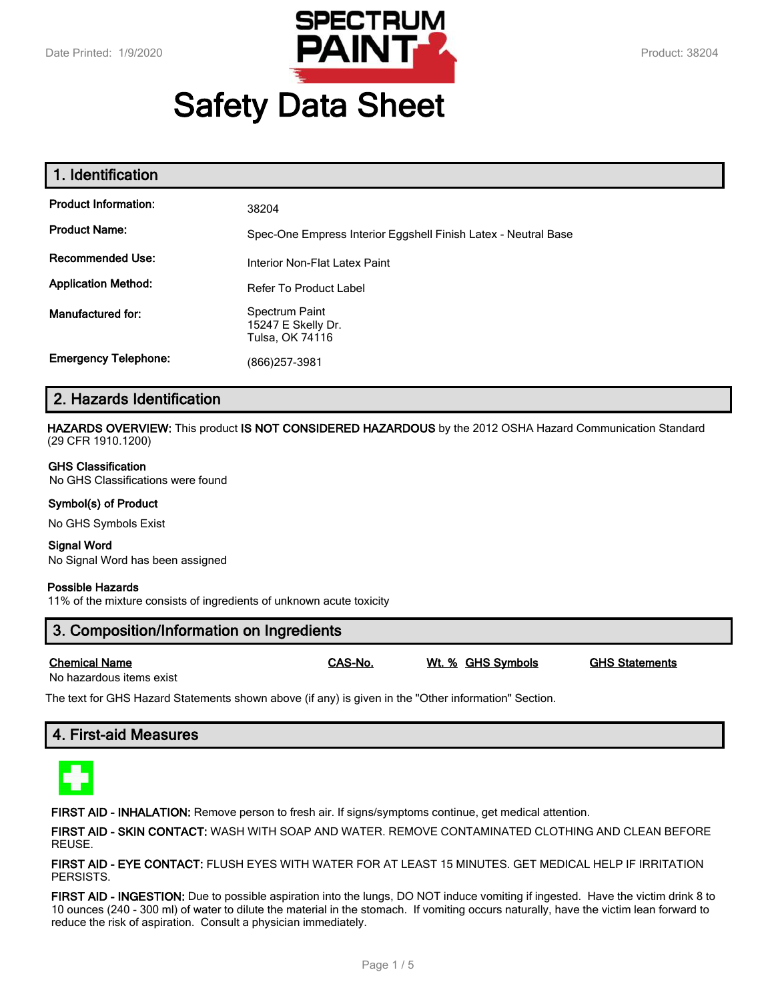

# **Safety Data Sheet**

| 1. Identification           |                                                                |
|-----------------------------|----------------------------------------------------------------|
| <b>Product Information:</b> | 38204                                                          |
| <b>Product Name:</b>        | Spec-One Empress Interior Eggshell Finish Latex - Neutral Base |
| <b>Recommended Use:</b>     | Interior Non-Flat Latex Paint                                  |
| <b>Application Method:</b>  | <b>Refer To Product Label</b>                                  |
| <b>Manufactured for:</b>    | Spectrum Paint<br>15247 E Skelly Dr.<br>Tulsa, OK 74116        |
| <b>Emergency Telephone:</b> | (866)257-3981                                                  |

## **2. Hazards Identification**

**HAZARDS OVERVIEW:** This product **IS NOT CONSIDERED HAZARDOUS** by the 2012 OSHA Hazard Communication Standard (29 CFR 1910.1200)

#### **GHS Classification**

No GHS Classifications were found

#### **Symbol(s) of Product**

No GHS Symbols Exist

#### **Signal Word**

No Signal Word has been assigned

#### **Possible Hazards**

11% of the mixture consists of ingredients of unknown acute toxicity

## **3. Composition/Information on Ingredients**

| <b>Chemical Name</b> | CAS-No. | Wt. % GHS Symbols | <b>GHS Statements</b> |
|----------------------|---------|-------------------|-----------------------|
|                      |         |                   |                       |

No hazardous items exist

The text for GHS Hazard Statements shown above (if any) is given in the "Other information" Section.

## **4. First-aid Measures**



**FIRST AID - INHALATION:** Remove person to fresh air. If signs/symptoms continue, get medical attention.

**FIRST AID - SKIN CONTACT:** WASH WITH SOAP AND WATER. REMOVE CONTAMINATED CLOTHING AND CLEAN BEFORE REUSE.

**FIRST AID - EYE CONTACT:** FLUSH EYES WITH WATER FOR AT LEAST 15 MINUTES. GET MEDICAL HELP IF IRRITATION PERSISTS.

**FIRST AID - INGESTION:** Due to possible aspiration into the lungs, DO NOT induce vomiting if ingested. Have the victim drink 8 to 10 ounces (240 - 300 ml) of water to dilute the material in the stomach. If vomiting occurs naturally, have the victim lean forward to reduce the risk of aspiration. Consult a physician immediately.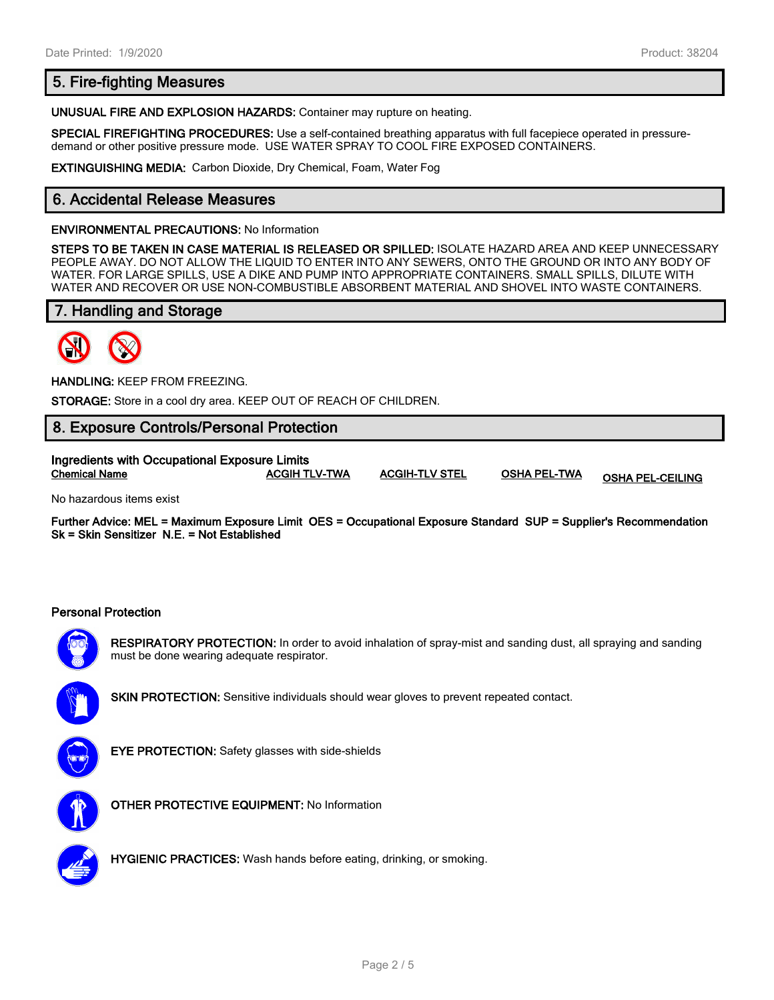## **5. Fire-fighting Measures**

**UNUSUAL FIRE AND EXPLOSION HAZARDS:** Container may rupture on heating.

**SPECIAL FIREFIGHTING PROCEDURES:** Use a self-contained breathing apparatus with full facepiece operated in pressuredemand or other positive pressure mode. USE WATER SPRAY TO COOL FIRE EXPOSED CONTAINERS.

**EXTINGUISHING MEDIA:** Carbon Dioxide, Dry Chemical, Foam, Water Fog

## **6. Accidental Release Measures**

#### **ENVIRONMENTAL PRECAUTIONS:** No Information

**STEPS TO BE TAKEN IN CASE MATERIAL IS RELEASED OR SPILLED:** ISOLATE HAZARD AREA AND KEEP UNNECESSARY PEOPLE AWAY. DO NOT ALLOW THE LIQUID TO ENTER INTO ANY SEWERS, ONTO THE GROUND OR INTO ANY BODY OF WATER. FOR LARGE SPILLS, USE A DIKE AND PUMP INTO APPROPRIATE CONTAINERS. SMALL SPILLS, DILUTE WITH WATER AND RECOVER OR USE NON-COMBUSTIBLE ABSORBENT MATERIAL AND SHOVEL INTO WASTE CONTAINERS.

## **7. Handling and Storage**



**HANDLING:** KEEP FROM FREEZING.

**STORAGE:** Store in a cool dry area. KEEP OUT OF REACH OF CHILDREN.

## **8. Exposure Controls/Personal Protection**

**Ingredients with Occupational Exposure Limits Chemical Name ACGIH TLV-TWA ACGIH-TLV STEL OSHA PEL-TWA OSHA PEL-CEILING**

No hazardous items exist

**Further Advice: MEL = Maximum Exposure Limit OES = Occupational Exposure Standard SUP = Supplier's Recommendation Sk = Skin Sensitizer N.E. = Not Established**

#### **Personal Protection**



**RESPIRATORY PROTECTION:** In order to avoid inhalation of spray-mist and sanding dust, all spraying and sanding must be done wearing adequate respirator.



**SKIN PROTECTION:** Sensitive individuals should wear gloves to prevent repeated contact.



**EYE PROTECTION:** Safety glasses with side-shields



**OTHER PROTECTIVE EQUIPMENT:** No Information



**HYGIENIC PRACTICES:** Wash hands before eating, drinking, or smoking.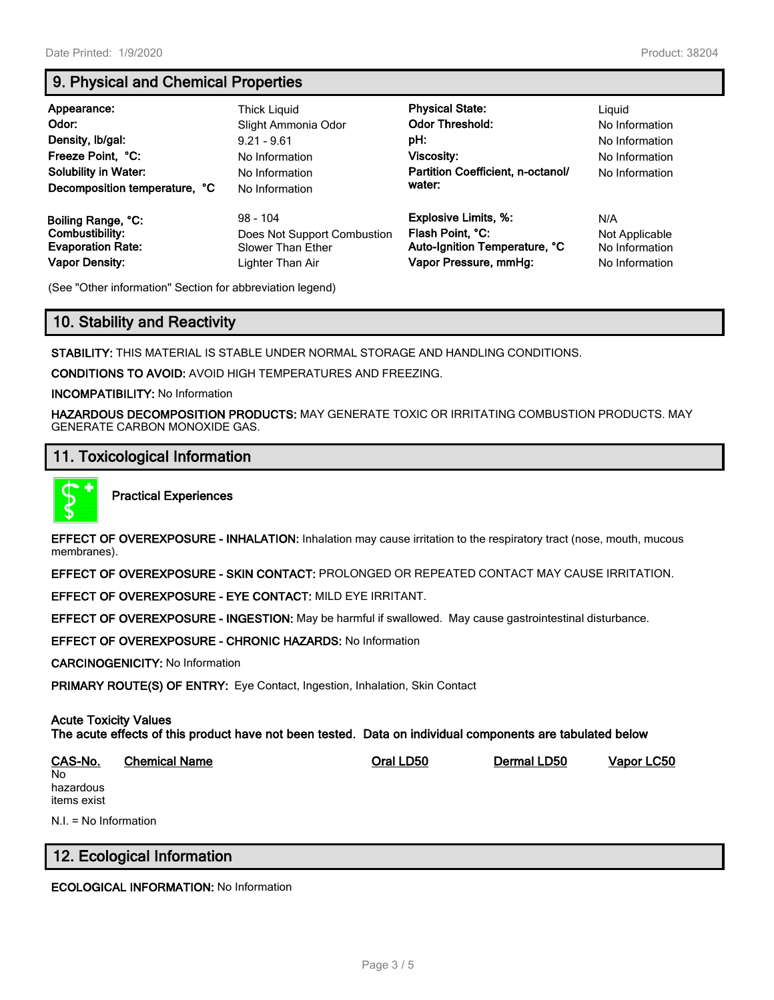## **9. Physical and Chemical Properties**

| Appearance:<br>Odor:<br>Density, Ib/gal:<br>Freeze Point, °C:<br><b>Solubility in Water:</b><br>Decomposition temperature, °C | Thick Liguid<br>Slight Ammonia Odor<br>$9.21 - 9.61$<br>No Information<br>No Information<br>No Information | <b>Physical State:</b><br><b>Odor Threshold:</b><br>pH:<br>Viscosity:<br>Partition Coefficient, n-octanol/<br>water: | Liguid<br>No Information<br>No Information<br>No Information<br>No Information |
|-------------------------------------------------------------------------------------------------------------------------------|------------------------------------------------------------------------------------------------------------|----------------------------------------------------------------------------------------------------------------------|--------------------------------------------------------------------------------|
| Boiling Range, °C:                                                                                                            | $98 - 104$                                                                                                 | <b>Explosive Limits, %:</b>                                                                                          | N/A                                                                            |
| Combustibility:                                                                                                               | Does Not Support Combustion                                                                                | Flash Point, °C:                                                                                                     | Not Applicable                                                                 |
| <b>Evaporation Rate:</b>                                                                                                      | Slower Than Ether                                                                                          | Auto-Ignition Temperature, °C                                                                                        | No Information                                                                 |
| <b>Vapor Density:</b>                                                                                                         | Lighter Than Air                                                                                           | Vapor Pressure, mmHg:                                                                                                | No Information                                                                 |

(See "Other information" Section for abbreviation legend)

## **10. Stability and Reactivity**

**STABILITY:** THIS MATERIAL IS STABLE UNDER NORMAL STORAGE AND HANDLING CONDITIONS.

**CONDITIONS TO AVOID:** AVOID HIGH TEMPERATURES AND FREEZING.

**INCOMPATIBILITY:** No Information

**HAZARDOUS DECOMPOSITION PRODUCTS:** MAY GENERATE TOXIC OR IRRITATING COMBUSTION PRODUCTS. MAY GENERATE CARBON MONOXIDE GAS.

#### **11. Toxicological Information**



**Practical Experiences**

**EFFECT OF OVEREXPOSURE - INHALATION:** Inhalation may cause irritation to the respiratory tract (nose, mouth, mucous membranes).

**EFFECT OF OVEREXPOSURE - SKIN CONTACT:** PROLONGED OR REPEATED CONTACT MAY CAUSE IRRITATION.

**EFFECT OF OVEREXPOSURE - EYE CONTACT:** MILD EYE IRRITANT.

**EFFECT OF OVEREXPOSURE - INGESTION:** May be harmful if swallowed. May cause gastrointestinal disturbance.

**EFFECT OF OVEREXPOSURE - CHRONIC HAZARDS:** No Information

**CARCINOGENICITY:** No Information

**PRIMARY ROUTE(S) OF ENTRY:** Eye Contact, Ingestion, Inhalation, Skin Contact

#### **Acute Toxicity Values The acute effects of this product have not been tested. Data on individual components are tabulated below**

**CAS-No. Chemical Name Oral LD50 Dermal LD50 Vapor LC50** No hazardous items exist N.I. = No Information

## **12. Ecological Information**

**ECOLOGICAL INFORMATION:** No Information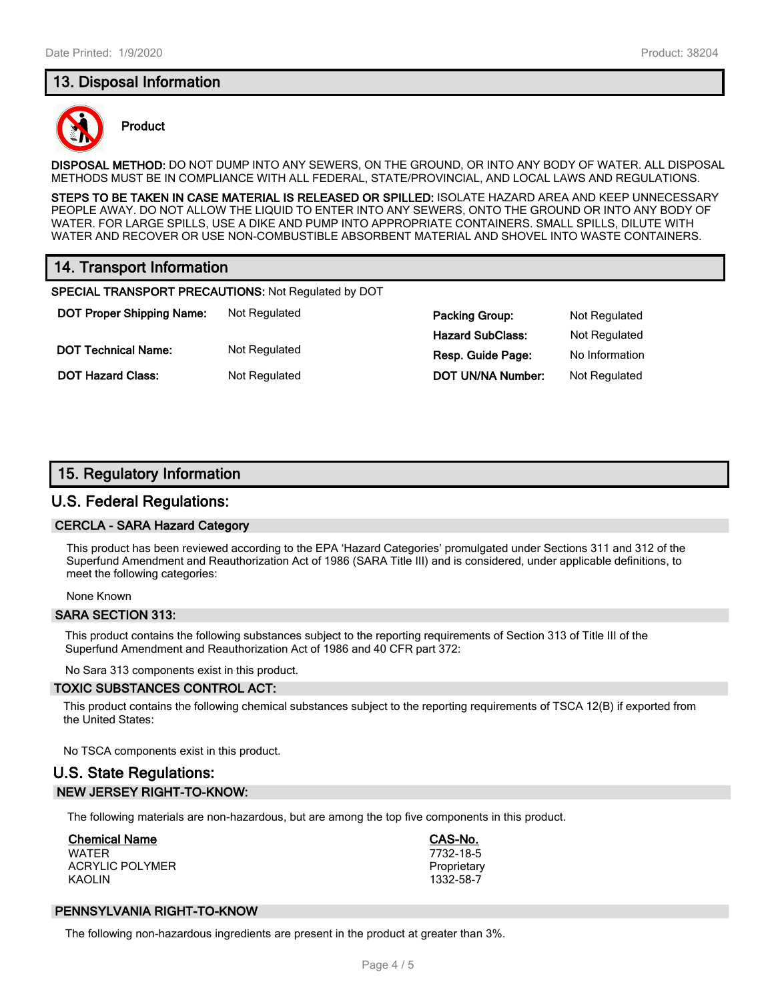## **13. Disposal Information**



#### **Product**

**DISPOSAL METHOD:** DO NOT DUMP INTO ANY SEWERS, ON THE GROUND, OR INTO ANY BODY OF WATER. ALL DISPOSAL METHODS MUST BE IN COMPLIANCE WITH ALL FEDERAL, STATE/PROVINCIAL, AND LOCAL LAWS AND REGULATIONS.

**STEPS TO BE TAKEN IN CASE MATERIAL IS RELEASED OR SPILLED:** ISOLATE HAZARD AREA AND KEEP UNNECESSARY PEOPLE AWAY. DO NOT ALLOW THE LIQUID TO ENTER INTO ANY SEWERS, ONTO THE GROUND OR INTO ANY BODY OF WATER. FOR LARGE SPILLS, USE A DIKE AND PUMP INTO APPROPRIATE CONTAINERS. SMALL SPILLS, DILUTE WITH WATER AND RECOVER OR USE NON-COMBUSTIBLE ABSORBENT MATERIAL AND SHOVEL INTO WASTE CONTAINERS.

## **14. Transport Information**

**SPECIAL TRANSPORT PRECAUTIONS:** Not Regulated by DOT

**DOT Proper Shipping Name:** Not Regulated **Packing Group:** Packing Group: Packing Brown Packing Group: Packing Brown Packing Brown Packing Brown Packing Brown Packing Brown Packing Brown Packing Brown Packing Brown Packing **DOT Technical Name:** Not Regulated

**DOT Hazard Class:** Not Regulated **DOT Hazard Class:** I

| Packing Group:    | Not Regulated  |
|-------------------|----------------|
| Hazard SubClass:  | Not Regulated  |
| Resp. Guide Page: | No Information |
| DOT UN/NA Number: | Not Regulated  |

## **15. Regulatory Information**

#### **U.S. Federal Regulations:**

#### **CERCLA - SARA Hazard Category**

This product has been reviewed according to the EPA 'Hazard Categories' promulgated under Sections 311 and 312 of the Superfund Amendment and Reauthorization Act of 1986 (SARA Title III) and is considered, under applicable definitions, to meet the following categories:

None Known

#### **SARA SECTION 313:**

This product contains the following substances subject to the reporting requirements of Section 313 of Title III of the Superfund Amendment and Reauthorization Act of 1986 and 40 CFR part 372:

No Sara 313 components exist in this product.

#### **TOXIC SUBSTANCES CONTROL ACT:**

This product contains the following chemical substances subject to the reporting requirements of TSCA 12(B) if exported from the United States:

No TSCA components exist in this product.

## **U.S. State Regulations: NEW JERSEY RIGHT-TO-KNOW:**

The following materials are non-hazardous, but are among the top five components in this product.

## **Chemical Name CAS-No.**

WATER 7732-18-5 ACRYLIC POLYMER **PROPRIET ACRYLIC POLYMER** KAOLIN 1332-58-7

#### **PENNSYLVANIA RIGHT-TO-KNOW**

The following non-hazardous ingredients are present in the product at greater than 3%.